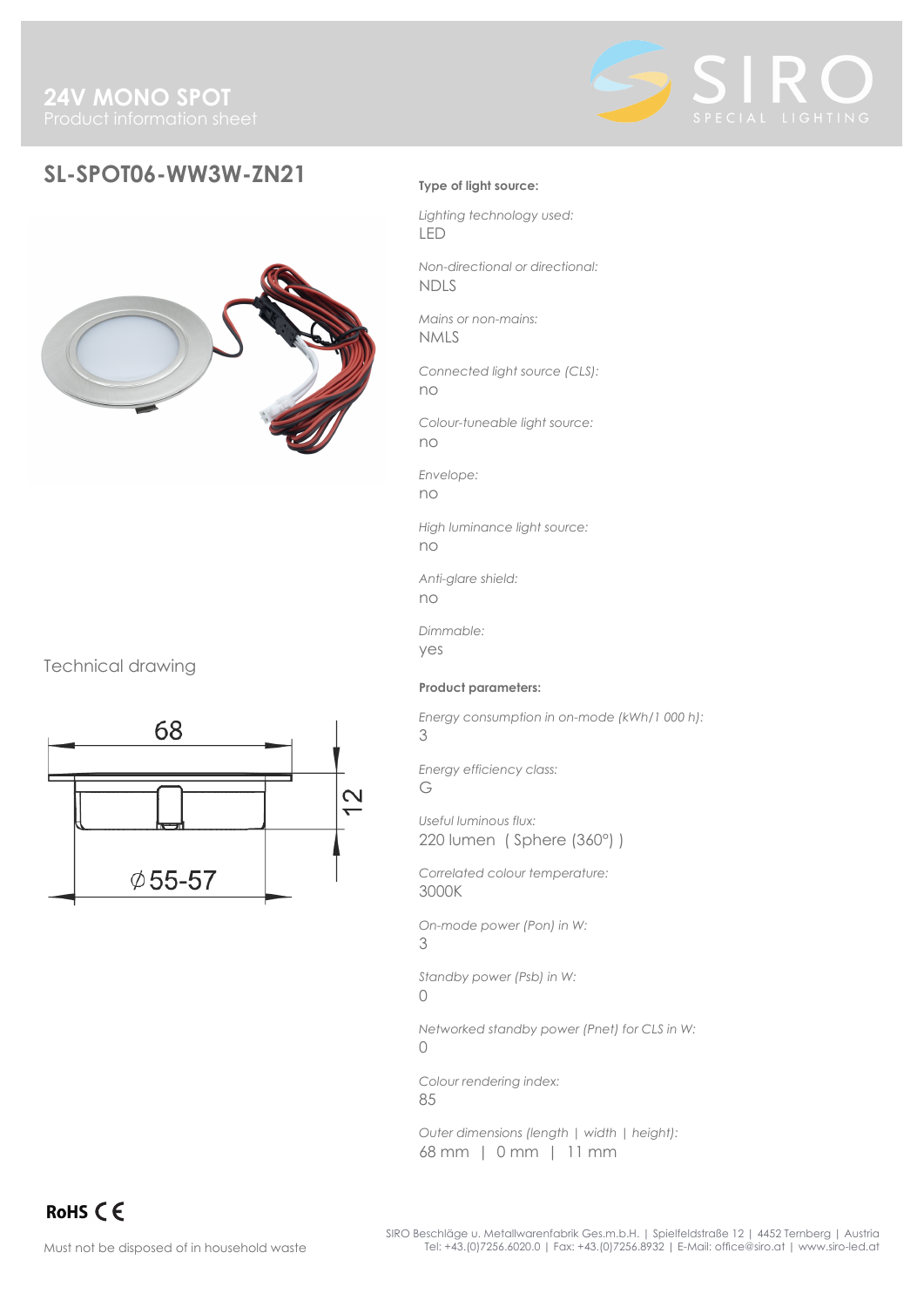

# **SL-SPOT06-WW3W-ZN21 Type of light source:**



# Technical drawing



*Lighting technology used:* LED

*Non-directional or directional:* NDLS

*Mains or non-mains:* NMLS

*Connected light source (CLS):* no

*Colour-tuneable light source:* no

*Envelope:*

no

*High luminance light source:* no

*Anti-glare shield:* no

*Dimmable:* yes

**Product parameters:**

*Energy consumption in on-mode (kWh/1 000 h):*

3

*Energy efficiency class:*

G

*Useful luminous flux:* 220 lumen ( Sphere (360°) )

*Correlated colour temperature:* 3000K

*On-mode power (Pon) in W:* 3

*Standby power (Psb) in W:*  $\bigcap$ 

*Networked standby power (Pnet) for CLS in W:*  $\bigcap$ 

*Colour rendering index:* 85

*Outer dimensions (length | width | height):* 68 mm | 0 mm | 11 mm

RoHS CE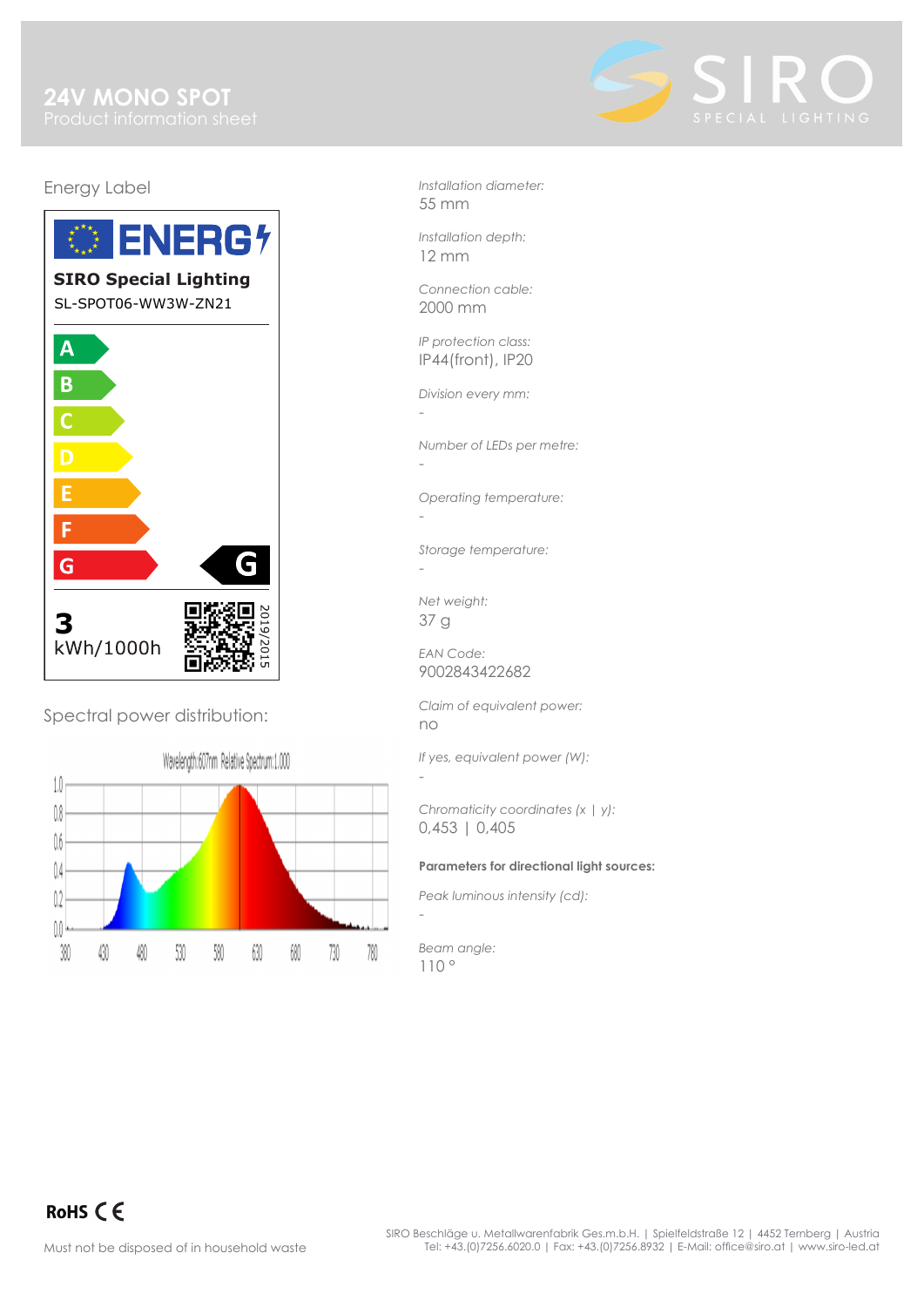

# Energy Label



Spectral power distribution:

Wavelength:607nm Relative Spectrum:1.000



*Installation diameter:* 55 mm

*Installation depth:* 12 mm

*Connection cable:* 2000 mm

*IP protection class:* IP44(front), IP20

*Division every mm:*

-

-

-

-

-

*Number of LEDs per metre:*

*Operating temperature:*

*Storage temperature:* -

*Net weight:* 37 g

*EAN Code:* 9002843422682

*Claim of equivalent power:* no

*If yes, equivalent power (W):*

*Chromaticity coordinates (x | y):* 0,453 | 0,405

## **Parameters for directional light sources:**

*Peak luminous intensity (cd):*

*Beam angle:* 110 °